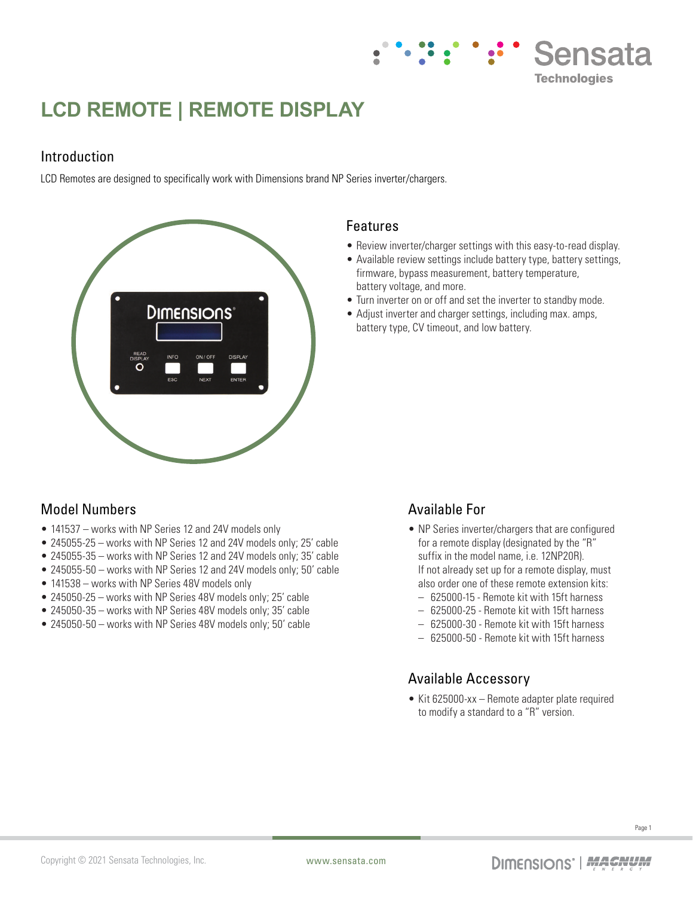# **LCD REMOTE | REMOTE DISPLAY**

## Introduction

LCD Remotes are designed to specifically work with Dimensions brand NP Series inverter/chargers.



#### Features

• Review inverter/charger settings with this easy-to-read display.

Sensata

**Technologies** 

- Available review settings include battery type, battery settings, firmware, bypass measurement, battery temperature, battery voltage, and more.
- Turn inverter on or off and set the inverter to standby mode.
- Adjust inverter and charger settings, including max. amps, battery type, CV timeout, and low battery.

# Model Numbers

- 141537 works with NP Series 12 and 24V models only
- 245055-25 works with NP Series 12 and 24V models only; 25' cable
- 245055-35 works with NP Series 12 and 24V models only; 35' cable
- 245055-50 works with NP Series 12 and 24V models only; 50' cable
- 141538 works with NP Series 48V models only
- 245050-25 works with NP Series 48V models only; 25' cable
- 245050-35 works with NP Series 48V models only; 35' cable
- 245050-50 works with NP Series 48V models only; 50' cable

# Available For

- NP Series inverter/chargers that are configured for a remote display (designated by the "R" suffix in the model name, i.e. 12NP20R). If not already set up for a remote display, must also order one of these remote extension kits:
	- 625000-15 Remote kit with 15ft harness
	- 625000-25 Remote kit with 15ft harness
	- 625000-30 Remote kit with 15ft harness
- 625000-50 Remote kit with 15ft harness

## Available Accessory

• Kit 625000-xx – Remote adapter plate required to modify a standard to a "R" version.